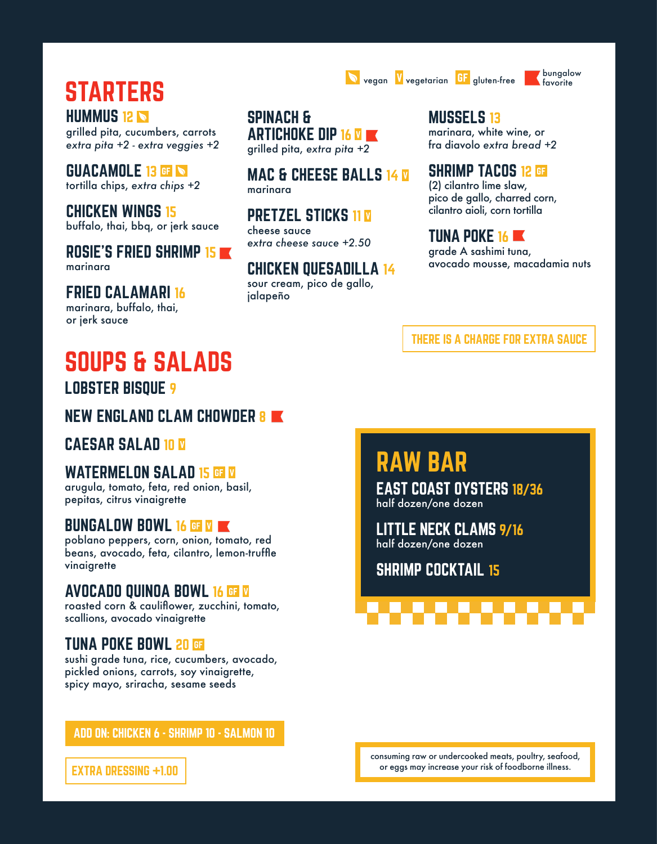STARTERS **HUMMUS 12 N** 

grilled pita, cucumbers, carrots *extra pita +2 - extra veggies +2*

GUACAMOLE 13 GF tortilla chips, *extra chips +2*

CHICKEN WINGS 15 buffalo, thai, bbq, or jerk sauce

ROSIE'S FRIED SHRIMP 15 marinara

FRIED CALAMARI 16 marinara, buffalo, thai, or jerk sauce

SPINACH & ARTICHOKE DIP 16 **M** grilled pita, *extra pita +2* 

**MAC & CHEESE BALLS 14 M** marinara

**PRETZEL STICKS 11 M** cheese sauce *extra cheese sauce +2.50*

CHICKEN QUESADILLA 14 sour cream, pico de gallo, jalapeño

**MUSSELS 13** marinara, white wine, or fra diavolo *extra bread +2*

**vegan V** vegetarian **GF** gluten-free **bungalow** 

SHRIMP TACOS 12 GE (2) cilantro lime slaw, pico de gallo, charred corn, cilantro aioli, corn tortilla

TUNA POKE 16 **K** grade A sashimi tuna, avocado mousse, macadamia nuts

favorite

THERE IS A CHARGE FOR EXTRA SAUCE

EAST COAST OYSTERS 18/36

LITTLE NECK CLAMS 9/16

half dozen/one dozen

RAW BAR

half dozen/one dozen

SHRIMP COCKTAIL 15

## SOUPS & SALADS LOBSTER BISQUE 9

NEW ENGLAND CLAM CHOWDER 8

CAESAR SALAD 10 W

#### WATERMELON SALAD 15 GF V

arugula, tomato, feta, red onion, basil, pepitas, citrus vinaigrette

#### BUNGALOW BOWL 16 GF V

poblano peppers, corn, onion, tomato, red beans, avocado, feta, cilantro, lemon-truffle vinaigrette

#### AVOCADO QUINOA BOWL 16

roasted corn & cauliflower, zucchini, tomato, scallions, avocado vinaigrette

#### TUNA POKE BOWL 20

sushi grade tuna, rice, cucumbers, avocado, pickled onions, carrots, soy vinaigrette, spicy mayo, sriracha, sesame seeds

ADD ON: CHICKEN 6 - SHRIMP 10 - SALMON 10

consuming raw or undercooked meats, poultry, seafood, or eggs may increase your risk of foodborne illness.

EXTRA DRESSING +1.00